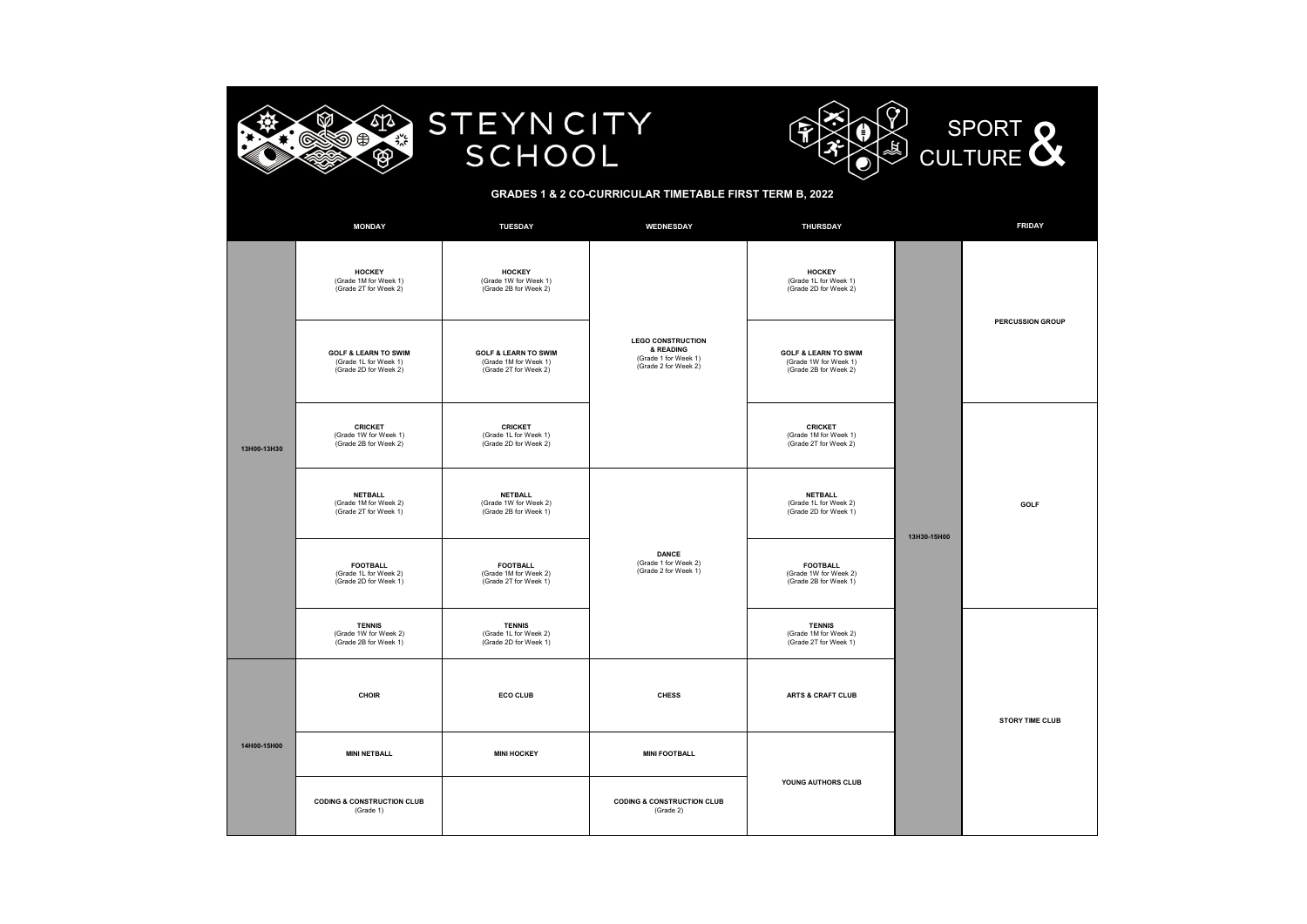

## **STEYNCITY** SCHOOL



#### **GRADES 1 & 2 CO-CURRICULAR TIMETABLE FIRST TERM B, 2022**

|             | <b>MONDAY</b>                                                                     | <b>TUESDAY</b>                                                                    | WEDNESDAY                                                                             | <b>THURSDAY</b>                                                                   |             | <b>FRIDAY</b>           |  |
|-------------|-----------------------------------------------------------------------------------|-----------------------------------------------------------------------------------|---------------------------------------------------------------------------------------|-----------------------------------------------------------------------------------|-------------|-------------------------|--|
| 13H00-13H30 | <b>HOCKEY</b><br>(Grade 1M for Week 1)<br>(Grade 2T for Week 2)                   | <b>HOCKEY</b><br>(Grade 1W for Week 1)<br>(Grade 2B for Week 2)                   |                                                                                       | <b>HOCKEY</b><br>(Grade 1L for Week 1)<br>(Grade 2D for Week 2)                   |             |                         |  |
|             | <b>GOLF &amp; LEARN TO SWIM</b><br>(Grade 1L for Week 1)<br>(Grade 2D for Week 2) | <b>GOLF &amp; LEARN TO SWIM</b><br>(Grade 1M for Week 1)<br>(Grade 2T for Week 2) | <b>LEGO CONSTRUCTION</b><br>& READING<br>(Grade 1 for Week 1)<br>(Grade 2 for Week 2) | <b>GOLF &amp; LEARN TO SWIM</b><br>(Grade 1W for Week 1)<br>(Grade 2B for Week 2) | 13H30-15H00 | <b>PERCUSSION GROUP</b> |  |
|             | <b>CRICKET</b><br>(Grade 1W for Week 1)<br>(Grade 2B for Week 2)                  | <b>CRICKET</b><br>(Grade 1L for Week 1)<br>(Grade 2D for Week 2)                  |                                                                                       | <b>CRICKET</b><br>(Grade 1M for Week 1)<br>(Grade 2T for Week 2)                  |             |                         |  |
|             | <b>NETBALL</b><br>(Grade 1M for Week 2)<br>(Grade 2T for Week 1)                  | <b>NETBALL</b><br>(Grade 1W for Week 2)<br>(Grade 2B for Week 1)                  |                                                                                       | <b>NETBALL</b><br>(Grade 1L for Week 2)<br>(Grade 2D for Week 1)                  |             | GOLF                    |  |
|             | <b>FOOTBALL</b><br>(Grade 1L for Week 2)<br>(Grade 2D for Week 1)                 | <b>FOOTBALL</b><br>(Grade 1M for Week 2)<br>(Grade 2T for Week 1)                 | <b>DANCE</b><br>(Grade 1 for Week 2)<br>(Grade 2 for Week 1)                          | <b>FOOTBALL</b><br>(Grade 1W for Week 2)<br>(Grade 2B for Week 1)                 |             |                         |  |
|             | <b>TENNIS</b><br>(Grade 1W for Week 2)<br>(Grade 2B for Week 1)                   | <b>TENNIS</b><br>(Grade 1L for Week 2)<br>(Grade 2D for Week 1)                   |                                                                                       | <b>TENNIS</b><br>(Grade 1M for Week 2)<br>(Grade 2T for Week 1)                   |             |                         |  |
| 14H00-15H00 | CHOIR                                                                             | <b>ECO CLUB</b>                                                                   | <b>CHESS</b>                                                                          | ARTS & CRAFT CLUB                                                                 |             | STORY TIME CLUB         |  |
|             | <b>MINI NETBALL</b>                                                               | <b>MINI HOCKEY</b>                                                                | <b>MINI FOOTBALL</b>                                                                  |                                                                                   |             |                         |  |
|             | <b>CODING &amp; CONSTRUCTION CLUB</b><br>(Grade 1)                                |                                                                                   | <b>CODING &amp; CONSTRUCTION CLUB</b><br>(Grade 2)                                    | YOUNG AUTHORS CLUB                                                                |             |                         |  |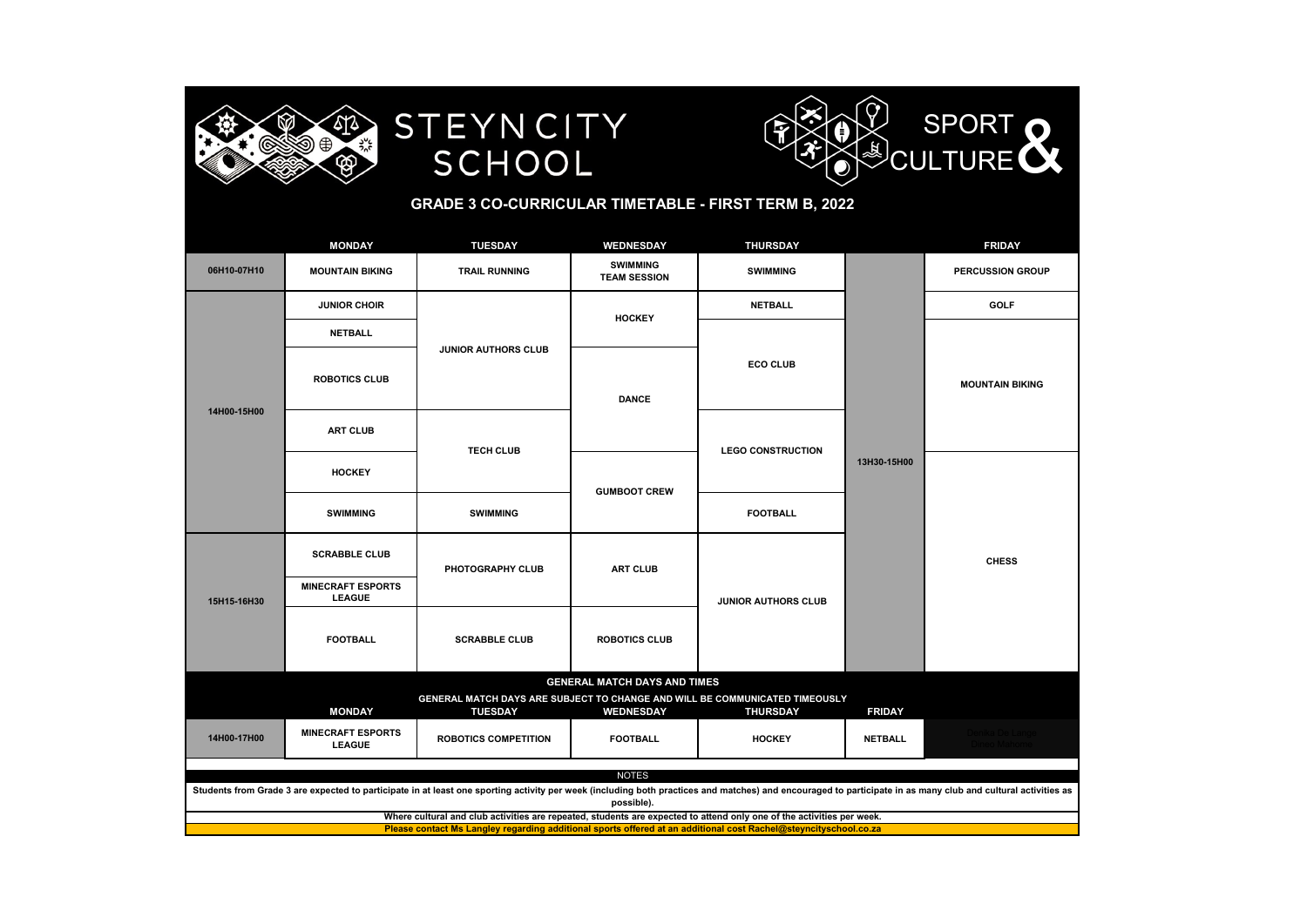





### **GRADE 3 CO-CURRICULAR TIMETABLE - FIRST TERM B, 2022**

|                                                                                                                                                                                                                            | <b>MONDAY</b>                                                                            | <b>TUESDAY</b>             | WEDNESDAY                           | <b>THURSDAY</b>            |                         | <b>FRIDAY</b>          |  |  |  |
|----------------------------------------------------------------------------------------------------------------------------------------------------------------------------------------------------------------------------|------------------------------------------------------------------------------------------|----------------------------|-------------------------------------|----------------------------|-------------------------|------------------------|--|--|--|
| 06H10-07H10                                                                                                                                                                                                                | <b>SWIMMING</b><br><b>MOUNTAIN BIKING</b><br><b>TRAIL RUNNING</b><br><b>TEAM SESSION</b> |                            | <b>SWIMMING</b>                     |                            | <b>PERCUSSION GROUP</b> |                        |  |  |  |
|                                                                                                                                                                                                                            | <b>JUNIOR CHOIR</b>                                                                      |                            | <b>HOCKEY</b>                       | <b>NETBALL</b>             |                         | <b>GOLF</b>            |  |  |  |
|                                                                                                                                                                                                                            | <b>NETBALL</b>                                                                           |                            |                                     |                            | 13H30-15H00             | <b>MOUNTAIN BIKING</b> |  |  |  |
| 14H00-15H00                                                                                                                                                                                                                | <b>ROBOTICS CLUB</b>                                                                     | <b>JUNIOR AUTHORS CLUB</b> | <b>DANCE</b>                        | <b>ECO CLUB</b>            |                         |                        |  |  |  |
|                                                                                                                                                                                                                            | <b>ART CLUB</b>                                                                          | <b>TECH CLUB</b>           |                                     | <b>LEGO CONSTRUCTION</b>   |                         |                        |  |  |  |
|                                                                                                                                                                                                                            | <b>HOCKEY</b>                                                                            |                            | <b>GUMBOOT CREW</b>                 |                            |                         |                        |  |  |  |
|                                                                                                                                                                                                                            | <b>SWIMMING</b>                                                                          | <b>SWIMMING</b>            |                                     | <b>FOOTBALL</b>            |                         | <b>CHESS</b>           |  |  |  |
|                                                                                                                                                                                                                            | <b>SCRABBLE CLUB</b>                                                                     | PHOTOGRAPHY CLUB           | <b>ART CLUB</b>                     |                            |                         |                        |  |  |  |
| 15H15-16H30                                                                                                                                                                                                                | <b>MINECRAFT ESPORTS</b><br><b>LEAGUE</b>                                                |                            |                                     | <b>JUNIOR AUTHORS CLUB</b> |                         |                        |  |  |  |
|                                                                                                                                                                                                                            | <b>FOOTBALL</b>                                                                          | <b>SCRABBLE CLUB</b>       | <b>ROBOTICS CLUB</b>                |                            |                         |                        |  |  |  |
|                                                                                                                                                                                                                            |                                                                                          |                            | <b>GENERAL MATCH DAYS AND TIMES</b> |                            |                         |                        |  |  |  |
|                                                                                                                                                                                                                            |                                                                                          |                            |                                     |                            |                         |                        |  |  |  |
| <b>MINECRAFT ESPORTS</b><br>14H00-17H00<br><b>ROBOTICS COMPETITION</b><br><b>FOOTBALL</b><br><b>NETBALL</b><br><b>HOCKEY</b><br><b>LEAGUE</b>                                                                              |                                                                                          |                            |                                     |                            |                         |                        |  |  |  |
|                                                                                                                                                                                                                            | <b>NOTES</b>                                                                             |                            |                                     |                            |                         |                        |  |  |  |
| Students from Grade 3 are expected to participate in at least one sporting activity per week (including both practices and matches) and encouraged to participate in as many club and cultural activities as<br>possible). |                                                                                          |                            |                                     |                            |                         |                        |  |  |  |
| Where cultural and club activities are repeated, students are expected to attend only one of the activities per week.                                                                                                      |                                                                                          |                            |                                     |                            |                         |                        |  |  |  |
| Please contact Ms Langley regarding additional sports offered at an additional cost Rachel@steyncityschool.co.za                                                                                                           |                                                                                          |                            |                                     |                            |                         |                        |  |  |  |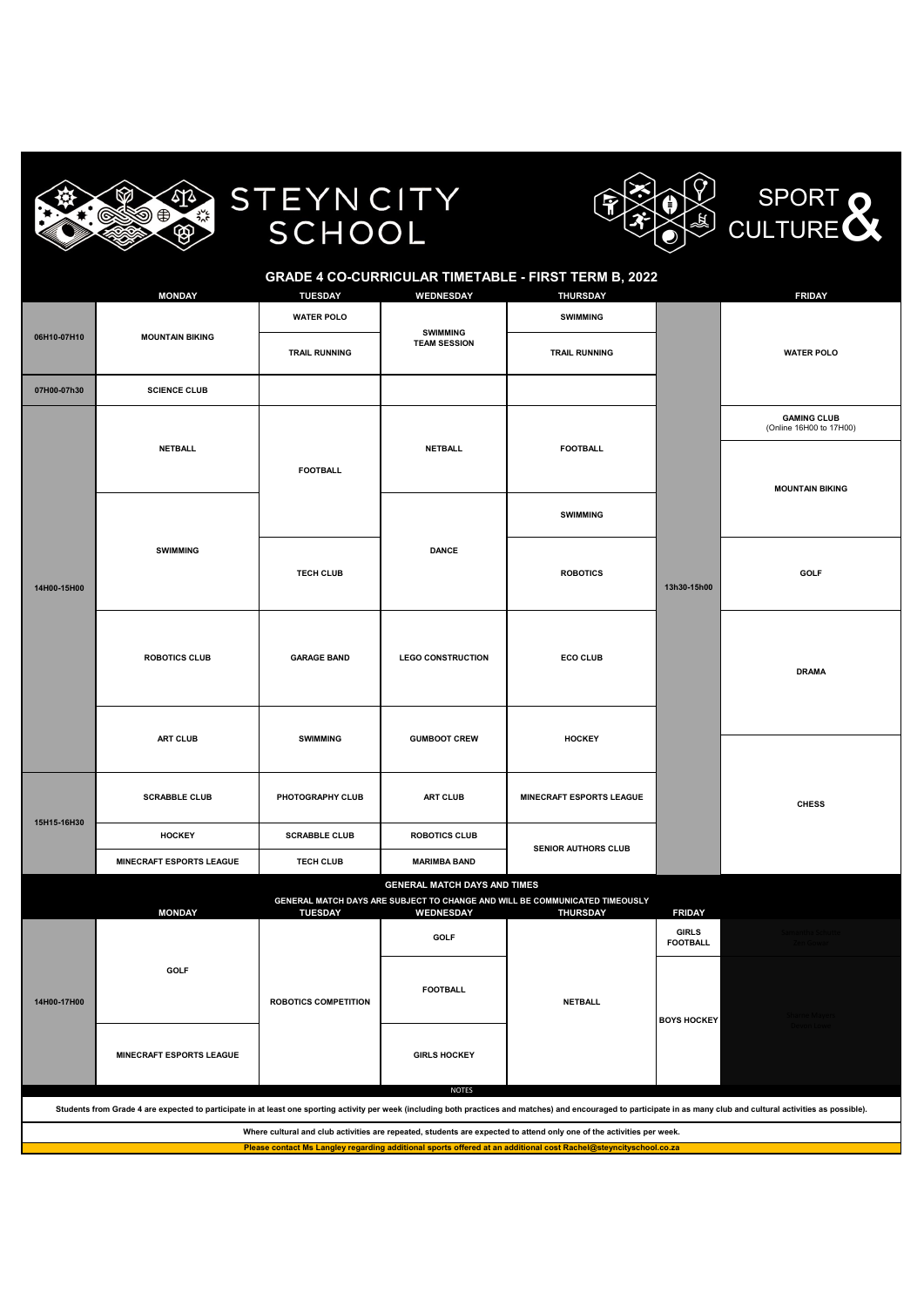



| <b>GRADE 4 CO-CURRICULAR TIMETABLE - FIRST TERM B, 2022</b>                                                                                                                                                             |                                 |                             |                                     |                                                                                                |                                 |                                               |  |  |
|-------------------------------------------------------------------------------------------------------------------------------------------------------------------------------------------------------------------------|---------------------------------|-----------------------------|-------------------------------------|------------------------------------------------------------------------------------------------|---------------------------------|-----------------------------------------------|--|--|
|                                                                                                                                                                                                                         | <b>MONDAY</b>                   | <b>TUESDAY</b>              | <b>WEDNESDAY</b>                    | <b>THURSDAY</b>                                                                                |                                 | <b>FRIDAY</b>                                 |  |  |
|                                                                                                                                                                                                                         |                                 | <b>WATER POLO</b>           | <b>SWIMMING</b>                     | <b>SWIMMING</b>                                                                                |                                 |                                               |  |  |
| 06H10-07H10                                                                                                                                                                                                             | <b>MOUNTAIN BIKING</b>          | <b>TRAIL RUNNING</b>        | <b>TEAM SESSION</b>                 | <b>TRAIL RUNNING</b>                                                                           |                                 | <b>WATER POLO</b>                             |  |  |
| 07H00-07h30                                                                                                                                                                                                             | <b>SCIENCE CLUB</b>             |                             |                                     |                                                                                                |                                 |                                               |  |  |
|                                                                                                                                                                                                                         |                                 |                             |                                     |                                                                                                |                                 | <b>GAMING CLUB</b><br>(Online 16H00 to 17H00) |  |  |
|                                                                                                                                                                                                                         | <b>NETBALL</b>                  |                             | <b>NETBALL</b>                      | <b>FOOTBALL</b>                                                                                |                                 |                                               |  |  |
|                                                                                                                                                                                                                         |                                 | <b>FOOTBALL</b>             |                                     |                                                                                                |                                 | <b>MOUNTAIN BIKING</b>                        |  |  |
|                                                                                                                                                                                                                         |                                 |                             |                                     | <b>SWIMMING</b>                                                                                |                                 |                                               |  |  |
|                                                                                                                                                                                                                         | <b>SWIMMING</b>                 |                             | <b>DANCE</b>                        |                                                                                                | 13h30-15h00                     |                                               |  |  |
|                                                                                                                                                                                                                         |                                 | <b>TECH CLUB</b>            |                                     | <b>ROBOTICS</b>                                                                                |                                 | <b>GOLF</b>                                   |  |  |
| 14H00-15H00                                                                                                                                                                                                             |                                 |                             |                                     |                                                                                                |                                 |                                               |  |  |
|                                                                                                                                                                                                                         | <b>ROBOTICS CLUB</b>            | <b>GARAGE BAND</b>          | <b>LEGO CONSTRUCTION</b>            |                                                                                                |                                 |                                               |  |  |
|                                                                                                                                                                                                                         |                                 |                             |                                     | <b>ECO CLUB</b>                                                                                |                                 | <b>DRAMA</b>                                  |  |  |
|                                                                                                                                                                                                                         |                                 |                             |                                     |                                                                                                |                                 |                                               |  |  |
|                                                                                                                                                                                                                         | <b>ART CLUB</b>                 | <b>SWIMMING</b>             | <b>GUMBOOT CREW</b>                 | <b>HOCKEY</b>                                                                                  |                                 |                                               |  |  |
|                                                                                                                                                                                                                         |                                 |                             |                                     |                                                                                                |                                 |                                               |  |  |
|                                                                                                                                                                                                                         |                                 | PHOTOGRAPHY CLUB            |                                     |                                                                                                |                                 |                                               |  |  |
| 15H15-16H30                                                                                                                                                                                                             | <b>SCRABBLE CLUB</b>            |                             | <b>ART CLUB</b>                     | <b>MINECRAFT ESPORTS LEAGUE</b>                                                                |                                 | <b>CHESS</b>                                  |  |  |
|                                                                                                                                                                                                                         | <b>HOCKEY</b>                   | <b>SCRABBLE CLUB</b>        | <b>ROBOTICS CLUB</b>                | <b>SENIOR AUTHORS CLUB</b>                                                                     |                                 |                                               |  |  |
|                                                                                                                                                                                                                         | <b>MINECRAFT ESPORTS LEAGUE</b> | <b>TECH CLUB</b>            | <b>MARIMBA BAND</b>                 |                                                                                                |                                 |                                               |  |  |
|                                                                                                                                                                                                                         |                                 |                             | <b>GENERAL MATCH DAYS AND TIMES</b> |                                                                                                |                                 |                                               |  |  |
|                                                                                                                                                                                                                         | <b>MONDAY</b>                   | <b>TUESDAY</b>              | <b>WEDNESDAY</b>                    | GENERAL MATCH DAYS ARE SUBJECT TO CHANGE AND WILL BE COMMUNICATED TIMEOUSLY<br><b>THURSDAY</b> | <b>FRIDAY</b>                   |                                               |  |  |
|                                                                                                                                                                                                                         |                                 |                             | <b>GOLF</b>                         |                                                                                                | <b>GIRLS</b><br><b>FOOTBALL</b> |                                               |  |  |
|                                                                                                                                                                                                                         | <b>GOLF</b>                     |                             |                                     | <b>NETBALL</b>                                                                                 |                                 |                                               |  |  |
| 14H00-17H00                                                                                                                                                                                                             |                                 | <b>ROBOTICS COMPETITION</b> | <b>FOOTBALL</b>                     |                                                                                                |                                 | Sharne Mayers -                               |  |  |
|                                                                                                                                                                                                                         |                                 |                             |                                     |                                                                                                | <b>BOYS HOCKEY</b>              | Devon Lo                                      |  |  |
|                                                                                                                                                                                                                         | <b>MINECRAFT ESPORTS LEAGUE</b> |                             | <b>GIRLS HOCKEY</b>                 |                                                                                                |                                 |                                               |  |  |
|                                                                                                                                                                                                                         |                                 |                             | <b>NOTES</b>                        |                                                                                                |                                 |                                               |  |  |
| Students from Grade 4 are expected to participate in at least one sporting activity per week (including both practices and matches) and encouraged to participate in as many club and cultural activities as possible). |                                 |                             |                                     |                                                                                                |                                 |                                               |  |  |

**Where cultural and club activities are repeated, students are expected to attend only one of the activities per week.**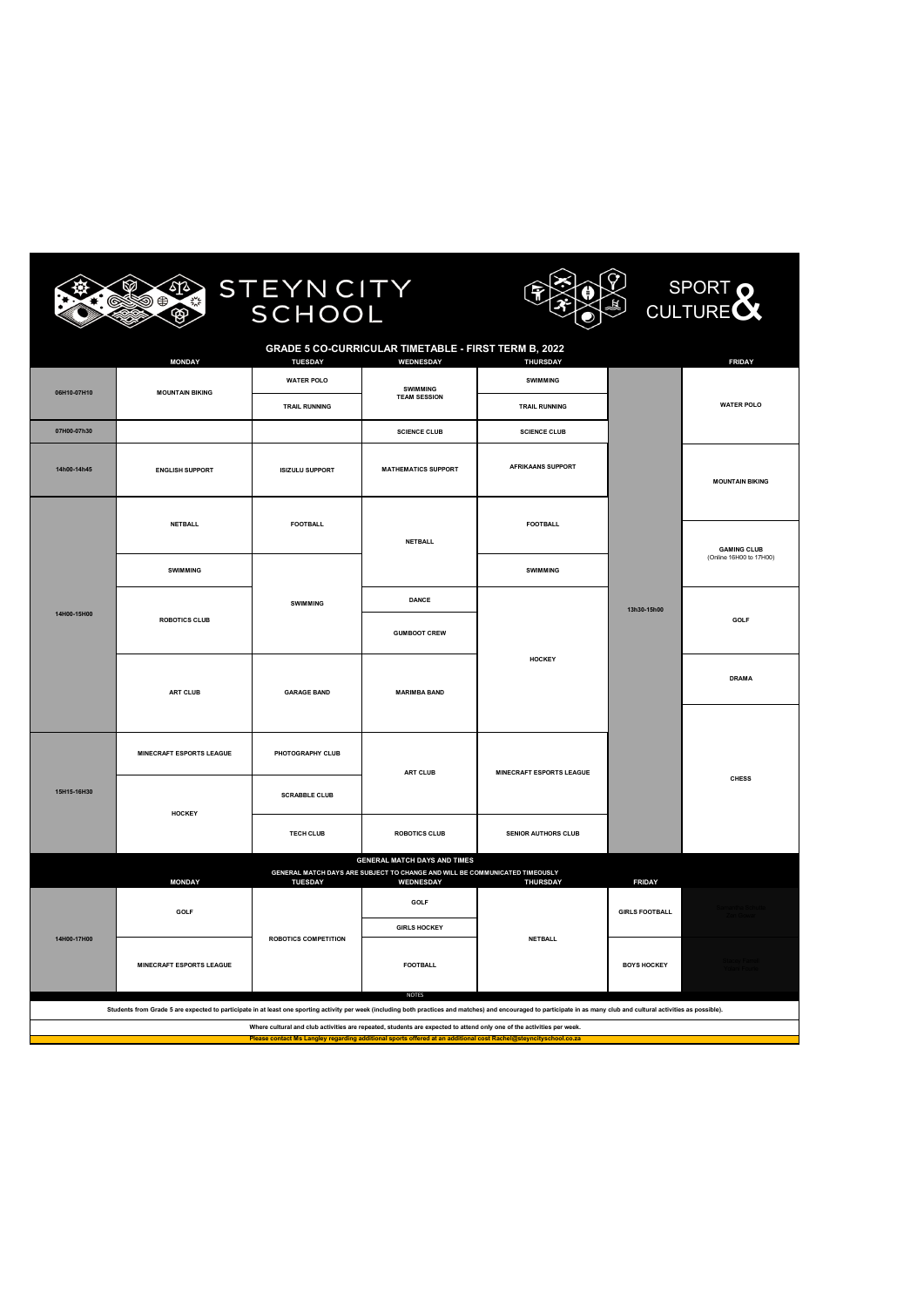







| <b>GRADE 5 CO-CURRICULAR TIMETABLE - FIRST TERM B, 2022</b><br><b>MONDAY</b><br><b>TUESDAY</b><br>WEDNESDAY<br>THURSDAY |                                                     |                             |                                                                                                                    |                                 |                       |                                               |  |
|-------------------------------------------------------------------------------------------------------------------------|-----------------------------------------------------|-----------------------------|--------------------------------------------------------------------------------------------------------------------|---------------------------------|-----------------------|-----------------------------------------------|--|
|                                                                                                                         |                                                     | <b>WATER POLO</b>           |                                                                                                                    | <b>SWIMMING</b>                 |                       | <b>FRIDAY</b>                                 |  |
| 06H10-07H10                                                                                                             | <b>MOUNTAIN BIKING</b>                              |                             | SWIMMING<br><b>TEAM SESSION</b>                                                                                    |                                 |                       |                                               |  |
|                                                                                                                         |                                                     | <b>TRAIL RUNNING</b>        |                                                                                                                    | <b>TRAIL RUNNING</b>            |                       | <b>WATER POLO</b>                             |  |
| 07H00-07h30                                                                                                             |                                                     |                             | <b>SCIENCE CLUB</b>                                                                                                | <b>SCIENCE CLUB</b>             |                       |                                               |  |
| 14h00-14h45                                                                                                             | <b>ENGLISH SUPPORT</b>                              | <b>ISIZULU SUPPORT</b>      | <b>MATHEMATICS SUPPORT</b>                                                                                         | AFRIKAANS SUPPORT               |                       | <b>MOUNTAIN BIKING</b>                        |  |
|                                                                                                                         | <b>NETBALL</b>                                      | <b>FOOTBALL</b>             |                                                                                                                    | <b>FOOTBALL</b>                 |                       |                                               |  |
|                                                                                                                         |                                                     |                             | <b>NETBALL</b>                                                                                                     |                                 |                       |                                               |  |
|                                                                                                                         |                                                     |                             |                                                                                                                    |                                 |                       | <b>GAMING CLUB</b><br>(Online 16H00 to 17H00) |  |
|                                                                                                                         | <b>SWIMMING</b>                                     |                             |                                                                                                                    | <b>SWIMMING</b>                 |                       |                                               |  |
|                                                                                                                         |                                                     | <b>SWIMMING</b>             | DANCE                                                                                                              |                                 | 13h30-15h00           |                                               |  |
| 14H00-15H00                                                                                                             | <b>ROBOTICS CLUB</b>                                |                             | <b>GUMBOOT CREW</b>                                                                                                |                                 |                       | GOLF                                          |  |
|                                                                                                                         | ART CLUB                                            | <b>GARAGE BAND</b>          | <b>MARIMBA BAND</b>                                                                                                | HOCKEY                          |                       | <b>DRAMA</b>                                  |  |
|                                                                                                                         |                                                     |                             |                                                                                                                    |                                 |                       |                                               |  |
|                                                                                                                         | <b>MINECRAFT ESPORTS LEAGUE</b><br>PHOTOGRAPHY CLUB |                             | ART CLUB                                                                                                           | <b>MINECRAFT ESPORTS LEAGUE</b> |                       |                                               |  |
| 15H15-16H30                                                                                                             |                                                     | <b>SCRABBLE CLUB</b>        |                                                                                                                    |                                 |                       | <b>CHESS</b>                                  |  |
|                                                                                                                         | HOCKEY                                              | <b>TECH CLUB</b>            | <b>ROBOTICS CLUB</b><br><b>SENIOR AUTHORS CLUB</b>                                                                 |                                 |                       |                                               |  |
|                                                                                                                         |                                                     |                             | <b>GENERAL MATCH DAYS AND TIMES</b><br>GENERAL MATCH DAYS ARE SUBJECT TO CHANGE AND WILL BE COMMUNICATED TIMEOUSLY |                                 |                       |                                               |  |
|                                                                                                                         | <b>MONDAY</b>                                       | <b>TUESDAY</b>              | WEDNESDAY                                                                                                          | THURSDAY                        | <b>FRIDAY</b>         |                                               |  |
|                                                                                                                         | GOLF                                                |                             | GOLF                                                                                                               |                                 | <b>GIRLS FOOTBALL</b> |                                               |  |
| 14H00-17H00                                                                                                             |                                                     | <b>ROBOTICS COMPETITION</b> | <b>GIRLS HOCKEY</b>                                                                                                | <b>NETBALL</b>                  |                       |                                               |  |
|                                                                                                                         | <b>MINECRAFT ESPORTS LEAGUE</b>                     |                             | <b>FOOTBALL</b>                                                                                                    |                                 | <b>BOYS HOCKEY</b>    |                                               |  |
|                                                                                                                         |                                                     |                             | <b>NOTES</b>                                                                                                       |                                 |                       |                                               |  |

**Students from Grade 5 are expected to participate in at least one sporting activity per week (including both practices and matches) and encouraged to participate in as many club and cultural activities as possible).**

**Where cultural and club activities are repeated, students are expected to attend only one of the activities per week.**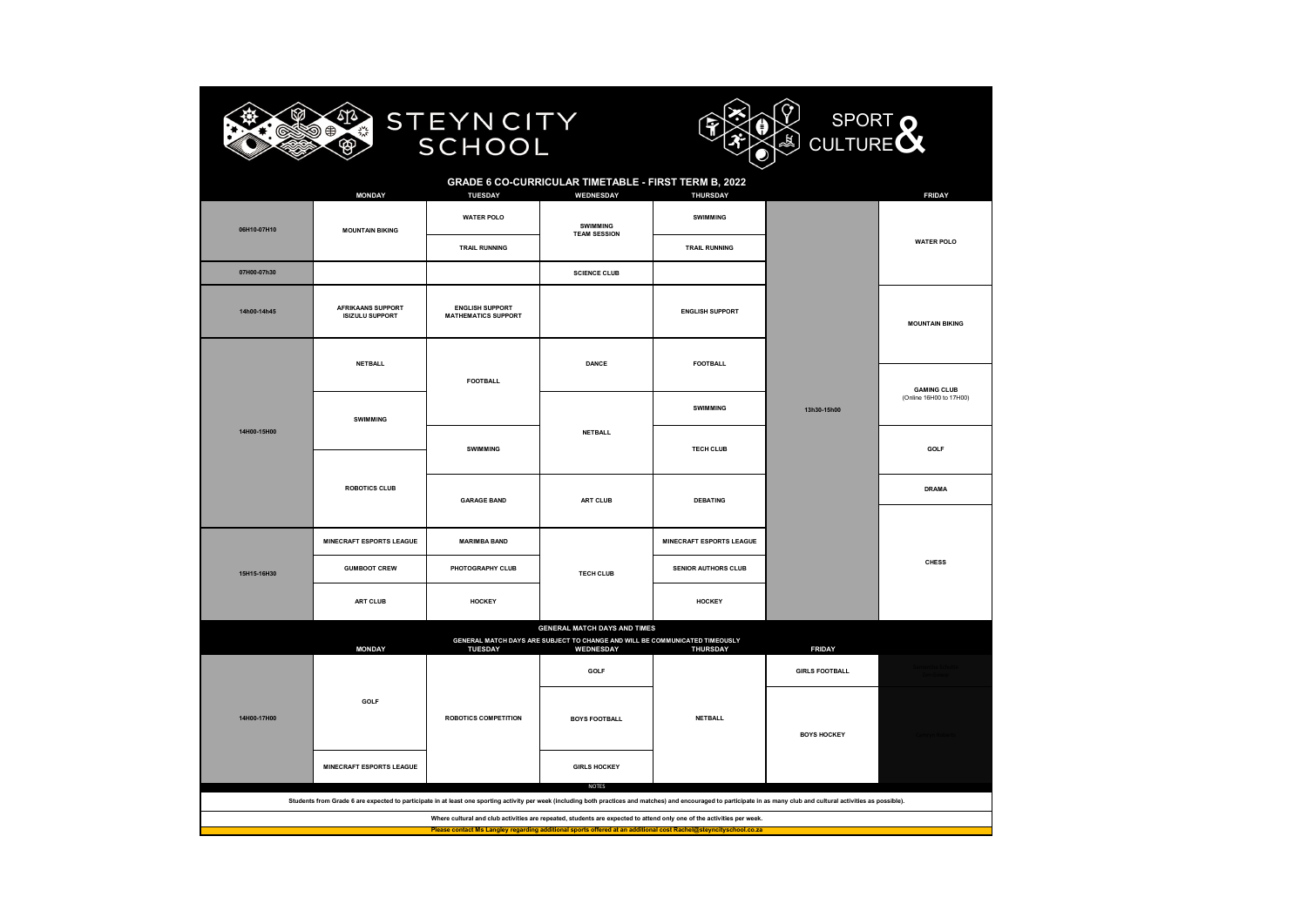



#### **GRADE 6 CO-CURRICULAR TIMETABLE - FIRST TERM B, 2022**

|             | <b>MONDAY</b>                                      | TUESDAY                                              | WEDNESDAY                                                                                                          | THURSDAY                        |                       | <b>FRIDAY</b>           |
|-------------|----------------------------------------------------|------------------------------------------------------|--------------------------------------------------------------------------------------------------------------------|---------------------------------|-----------------------|-------------------------|
| 06H10-07H10 | <b>MOUNTAIN BIKING</b>                             | <b>WATER POLO</b>                                    | SWIMMING<br><b>TEAM SESSION</b>                                                                                    | SWIMMING                        |                       |                         |
|             |                                                    | <b>TRAIL RUNNING</b>                                 |                                                                                                                    | <b>TRAIL RUNNING</b>            |                       | <b>WATER POLO</b>       |
| 07H00-07h30 |                                                    |                                                      | <b>SCIENCE CLUB</b>                                                                                                |                                 |                       |                         |
| 14h00-14h45 | <b>AFRIKAANS SUPPORT</b><br><b>ISIZULU SUPPORT</b> | <b>ENGLISH SUPPORT</b><br><b>MATHEMATICS SUPPORT</b> |                                                                                                                    | <b>ENGLISH SUPPORT</b>          |                       | <b>MOUNTAIN BIKING</b>  |
|             | <b>NETBALL</b>                                     |                                                      | <b>DANCE</b>                                                                                                       | <b>FOOTBALL</b>                 |                       |                         |
|             |                                                    | <b>FOOTBALL</b>                                      |                                                                                                                    |                                 |                       | <b>GAMING CLUB</b>      |
|             | SWIMMING                                           |                                                      |                                                                                                                    | SWIMMING                        | 13h30-15h00           | (Online 16H00 to 17H00) |
| 14H00-15H00 |                                                    | <b>SWIMMING</b>                                      | <b>NETBALL</b><br>ART CLUB                                                                                         | <b>TECH CLUB</b>                |                       | GOLF                    |
|             | <b>ROBOTICS CLUB</b>                               |                                                      |                                                                                                                    |                                 |                       |                         |
|             |                                                    | <b>GARAGE BAND</b>                                   |                                                                                                                    | <b>DEBATING</b>                 |                       | <b>DRAMA</b>            |
|             |                                                    |                                                      |                                                                                                                    |                                 |                       |                         |
|             | <b>MINECRAFT ESPORTS LEAGUE</b>                    | <b>MARIMBA BAND</b>                                  |                                                                                                                    | <b>MINECRAFT ESPORTS LEAGUE</b> |                       |                         |
| 15H15-16H30 | <b>GUMBOOT CREW</b>                                | PHOTOGRAPHY CLUB                                     | <b>TECH CLUB</b>                                                                                                   | <b>SENIOR AUTHORS CLUB</b>      |                       | <b>CHESS</b>            |
|             | ART CLUB                                           | <b>HOCKEY</b>                                        |                                                                                                                    | <b>HOCKEY</b>                   |                       |                         |
|             |                                                    |                                                      | <b>GENERAL MATCH DAYS AND TIMES</b><br>GENERAL MATCH DAYS ARE SUBJECT TO CHANGE AND WILL BE COMMUNICATED TIMEOUSLY |                                 |                       |                         |
|             | <b>MONDAY</b>                                      | <b>TUESDAY</b>                                       | WEDNESDAY                                                                                                          | THURSDAY                        | <b>FRIDAY</b>         |                         |
|             | GOLF                                               |                                                      | GOLF                                                                                                               |                                 | <b>GIRLS FOOTBALL</b> |                         |
|             |                                                    |                                                      |                                                                                                                    | <b>NETBALL</b>                  |                       |                         |
| 14H00-17H00 |                                                    | <b>ROBOTICS COMPETITION</b>                          | <b>BOYS FOOTBALL</b>                                                                                               |                                 | <b>BOYS HOCKEY</b>    |                         |
|             |                                                    |                                                      |                                                                                                                    |                                 |                       |                         |
|             | <b>MINECRAFT ESPORTS LEAGUE</b>                    |                                                      | <b>GIRLS HOCKEY</b>                                                                                                |                                 |                       |                         |
|             |                                                    |                                                      | <b>NOTES</b>                                                                                                       |                                 |                       |                         |

**Students from Grade 6 are expected to participate in at least one sporting activity per week (including both practices and matches) and encouraged to participate in as many club and cultural activities as possible).**

**Where cultural and club activities are repeated, students are expected to attend only one of the activities per week.**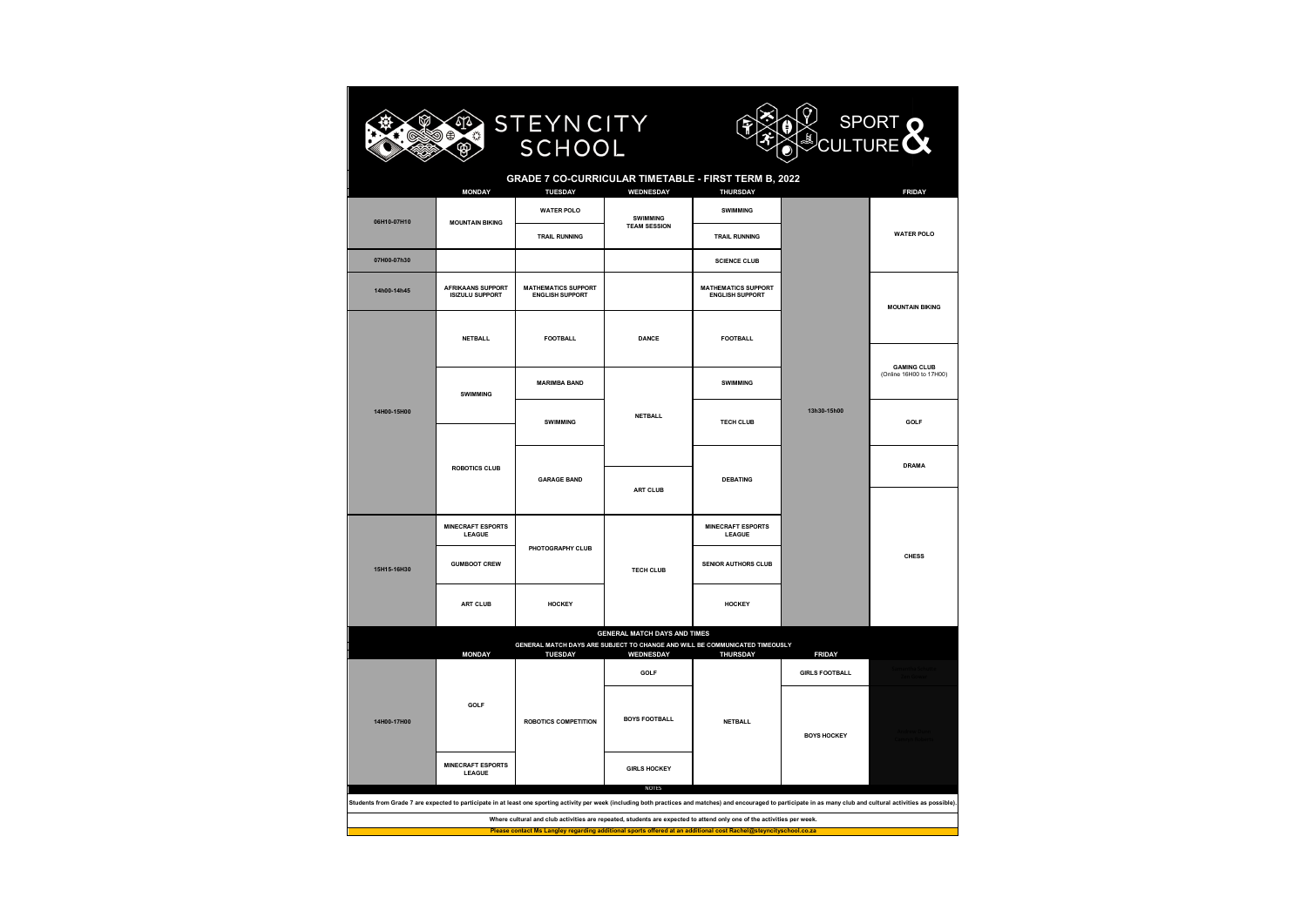



#### **GRADE 7 CO-CURRICULAR TIMETABLE - FIRST TERM B, 2022**

SCHOOL

| <b>WATER POLO</b><br>SWIMMING<br>SWIMMING<br>06H10-07H10<br><b>MOUNTAIN BIKING</b><br><b>TEAM SESSION</b><br><b>WATER POLO</b><br><b>TRAIL RUNNING</b><br><b>TRAIL RUNNING</b><br>07H00-07h30<br><b>SCIENCE CLUB</b><br><b>AFRIKAANS SUPPORT</b><br><b>MATHEMATICS SUPPORT</b><br><b>MATHEMATICS SUPPORT</b><br>14h00-14h45<br><b>ISIZULU SUPPORT</b><br><b>ENGLISH SUPPORT</b><br><b>ENGLISH SUPPORT</b><br><b>MOUNTAIN BIKING</b><br><b>NETBALL</b><br><b>FOOTBALL</b><br><b>DANCE</b><br><b>FOOTBALL</b><br><b>GAMING CLUB</b><br>(Online 16H00 to 17H00)<br><b>MARIMBA BAND</b><br>SWIMMING<br>SWIMMING<br>14H00-15H00<br>13h30-15h00<br><b>NETBALL</b><br>SWIMMING<br><b>TECH CLUB</b><br>GOLF<br><b>DRAMA</b><br><b>ROBOTICS CLUB</b><br><b>GARAGE BAND</b><br><b>DEBATING</b><br><b>ART CLUB</b><br><b>MINECRAFT ESPORTS</b><br><b>MINECRAFT ESPORTS</b><br>LEAGUE<br><b>LEAGUE</b><br>PHOTOGRAPHY CLUB<br><b>CHESS</b><br><b>GUMBOOT CREW</b><br><b>SENIOR AUTHORS CLUB</b><br><b>TECH CLUB</b><br>15H15-16H30<br><b>ART CLUB</b><br><b>HOCKEY</b><br>HOCKEY<br><b>GENERAL MATCH DAYS AND TIMES</b><br>GENERAL MATCH DAYS ARE SUBJECT TO CHANGE AND WILL BE COMMUNICATED TIMEOUSLY<br><b>THURSDAY</b><br><b>MONDAY</b><br><b>TUESDAY</b><br>WEDNESDAY<br><b>FRIDAY</b><br>GOLF<br><b>GIRLS FOOTBALL</b><br>GOLF<br><b>BOYS FOOTBALL</b><br>14H00-17H00<br><b>ROBOTICS COMPETITION</b><br><b>NETBALL</b><br><b>BOYS HOCKEY</b><br><b>MINECRAFT ESPORTS</b><br><b>GIRLS HOCKEY</b><br>LEAGUE<br><b>NOTES</b><br>Students from Grade 7 are expected to participate in at least one sporting activity per week (including both practices and matches) and encouraged to participate in as many club and cultural activities as possible). |  | <b>MONDAY</b> | <b>TUESDAY</b> | WEDNESDAY | <b>THURSDAY</b> |  | <b>FRIDAY</b> |  |  |
|-----------------------------------------------------------------------------------------------------------------------------------------------------------------------------------------------------------------------------------------------------------------------------------------------------------------------------------------------------------------------------------------------------------------------------------------------------------------------------------------------------------------------------------------------------------------------------------------------------------------------------------------------------------------------------------------------------------------------------------------------------------------------------------------------------------------------------------------------------------------------------------------------------------------------------------------------------------------------------------------------------------------------------------------------------------------------------------------------------------------------------------------------------------------------------------------------------------------------------------------------------------------------------------------------------------------------------------------------------------------------------------------------------------------------------------------------------------------------------------------------------------------------------------------------------------------------------------------------------------------------------------------------------------------------------------------------------------------------------------------------|--|---------------|----------------|-----------|-----------------|--|---------------|--|--|
|                                                                                                                                                                                                                                                                                                                                                                                                                                                                                                                                                                                                                                                                                                                                                                                                                                                                                                                                                                                                                                                                                                                                                                                                                                                                                                                                                                                                                                                                                                                                                                                                                                                                                                                                               |  |               |                |           |                 |  |               |  |  |
|                                                                                                                                                                                                                                                                                                                                                                                                                                                                                                                                                                                                                                                                                                                                                                                                                                                                                                                                                                                                                                                                                                                                                                                                                                                                                                                                                                                                                                                                                                                                                                                                                                                                                                                                               |  |               |                |           |                 |  |               |  |  |
|                                                                                                                                                                                                                                                                                                                                                                                                                                                                                                                                                                                                                                                                                                                                                                                                                                                                                                                                                                                                                                                                                                                                                                                                                                                                                                                                                                                                                                                                                                                                                                                                                                                                                                                                               |  |               |                |           |                 |  |               |  |  |
|                                                                                                                                                                                                                                                                                                                                                                                                                                                                                                                                                                                                                                                                                                                                                                                                                                                                                                                                                                                                                                                                                                                                                                                                                                                                                                                                                                                                                                                                                                                                                                                                                                                                                                                                               |  |               |                |           |                 |  |               |  |  |
|                                                                                                                                                                                                                                                                                                                                                                                                                                                                                                                                                                                                                                                                                                                                                                                                                                                                                                                                                                                                                                                                                                                                                                                                                                                                                                                                                                                                                                                                                                                                                                                                                                                                                                                                               |  |               |                |           |                 |  |               |  |  |
|                                                                                                                                                                                                                                                                                                                                                                                                                                                                                                                                                                                                                                                                                                                                                                                                                                                                                                                                                                                                                                                                                                                                                                                                                                                                                                                                                                                                                                                                                                                                                                                                                                                                                                                                               |  |               |                |           |                 |  |               |  |  |
|                                                                                                                                                                                                                                                                                                                                                                                                                                                                                                                                                                                                                                                                                                                                                                                                                                                                                                                                                                                                                                                                                                                                                                                                                                                                                                                                                                                                                                                                                                                                                                                                                                                                                                                                               |  |               |                |           |                 |  |               |  |  |
|                                                                                                                                                                                                                                                                                                                                                                                                                                                                                                                                                                                                                                                                                                                                                                                                                                                                                                                                                                                                                                                                                                                                                                                                                                                                                                                                                                                                                                                                                                                                                                                                                                                                                                                                               |  |               |                |           |                 |  |               |  |  |
|                                                                                                                                                                                                                                                                                                                                                                                                                                                                                                                                                                                                                                                                                                                                                                                                                                                                                                                                                                                                                                                                                                                                                                                                                                                                                                                                                                                                                                                                                                                                                                                                                                                                                                                                               |  |               |                |           |                 |  |               |  |  |
|                                                                                                                                                                                                                                                                                                                                                                                                                                                                                                                                                                                                                                                                                                                                                                                                                                                                                                                                                                                                                                                                                                                                                                                                                                                                                                                                                                                                                                                                                                                                                                                                                                                                                                                                               |  |               |                |           |                 |  |               |  |  |
|                                                                                                                                                                                                                                                                                                                                                                                                                                                                                                                                                                                                                                                                                                                                                                                                                                                                                                                                                                                                                                                                                                                                                                                                                                                                                                                                                                                                                                                                                                                                                                                                                                                                                                                                               |  |               |                |           |                 |  |               |  |  |
|                                                                                                                                                                                                                                                                                                                                                                                                                                                                                                                                                                                                                                                                                                                                                                                                                                                                                                                                                                                                                                                                                                                                                                                                                                                                                                                                                                                                                                                                                                                                                                                                                                                                                                                                               |  |               |                |           |                 |  |               |  |  |
|                                                                                                                                                                                                                                                                                                                                                                                                                                                                                                                                                                                                                                                                                                                                                                                                                                                                                                                                                                                                                                                                                                                                                                                                                                                                                                                                                                                                                                                                                                                                                                                                                                                                                                                                               |  |               |                |           |                 |  |               |  |  |
|                                                                                                                                                                                                                                                                                                                                                                                                                                                                                                                                                                                                                                                                                                                                                                                                                                                                                                                                                                                                                                                                                                                                                                                                                                                                                                                                                                                                                                                                                                                                                                                                                                                                                                                                               |  |               |                |           |                 |  |               |  |  |
|                                                                                                                                                                                                                                                                                                                                                                                                                                                                                                                                                                                                                                                                                                                                                                                                                                                                                                                                                                                                                                                                                                                                                                                                                                                                                                                                                                                                                                                                                                                                                                                                                                                                                                                                               |  |               |                |           |                 |  |               |  |  |
|                                                                                                                                                                                                                                                                                                                                                                                                                                                                                                                                                                                                                                                                                                                                                                                                                                                                                                                                                                                                                                                                                                                                                                                                                                                                                                                                                                                                                                                                                                                                                                                                                                                                                                                                               |  |               |                |           |                 |  |               |  |  |
|                                                                                                                                                                                                                                                                                                                                                                                                                                                                                                                                                                                                                                                                                                                                                                                                                                                                                                                                                                                                                                                                                                                                                                                                                                                                                                                                                                                                                                                                                                                                                                                                                                                                                                                                               |  |               |                |           |                 |  |               |  |  |
|                                                                                                                                                                                                                                                                                                                                                                                                                                                                                                                                                                                                                                                                                                                                                                                                                                                                                                                                                                                                                                                                                                                                                                                                                                                                                                                                                                                                                                                                                                                                                                                                                                                                                                                                               |  |               |                |           |                 |  |               |  |  |

**Where cultural and club activities are repeated, students are expected to attend only one of the activities per week.**